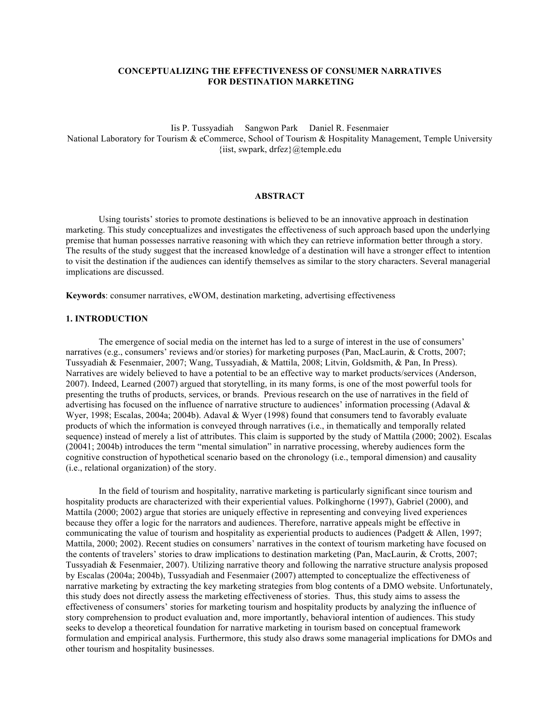# **CONCEPTUALIZING THE EFFECTIVENESS OF CONSUMER NARRATIVES FOR DESTINATION MARKETING**

Iis P. Tussyadiah Sangwon Park Daniel R. Fesenmaier National Laboratory for Tourism & eCommerce, School of Tourism & Hospitality Management, Temple University {iist, swpark, drfez}@temple.edu

## **ABSTRACT**

Using tourists' stories to promote destinations is believed to be an innovative approach in destination marketing. This study conceptualizes and investigates the effectiveness of such approach based upon the underlying premise that human possesses narrative reasoning with which they can retrieve information better through a story. The results of the study suggest that the increased knowledge of a destination will have a stronger effect to intention to visit the destination if the audiences can identify themselves as similar to the story characters. Several managerial implications are discussed.

**Keywords**: consumer narratives, eWOM, destination marketing, advertising effectiveness

#### **1. INTRODUCTION**

The emergence of social media on the internet has led to a surge of interest in the use of consumers' narratives (e.g., consumers' reviews and/or stories) for marketing purposes (Pan, MacLaurin, & Crotts, 2007; Tussyadiah & Fesenmaier, 2007; Wang, Tussyadiah, & Mattila, 2008; Litvin, Goldsmith, & Pan, In Press). Narratives are widely believed to have a potential to be an effective way to market products/services (Anderson, 2007). Indeed, Learned (2007) argued that storytelling, in its many forms, is one of the most powerful tools for presenting the truths of products, services, or brands. Previous research on the use of narratives in the field of advertising has focused on the influence of narrative structure to audiences' information processing (Adaval & Wyer, 1998; Escalas, 2004a; 2004b). Adaval & Wyer (1998) found that consumers tend to favorably evaluate products of which the information is conveyed through narratives (i.e., in thematically and temporally related sequence) instead of merely a list of attributes. This claim is supported by the study of Mattila (2000; 2002). Escalas (20041; 2004b) introduces the term "mental simulation" in narrative processing, whereby audiences form the cognitive construction of hypothetical scenario based on the chronology (i.e., temporal dimension) and causality (i.e., relational organization) of the story.

In the field of tourism and hospitality, narrative marketing is particularly significant since tourism and hospitality products are characterized with their experiential values. Polkinghorne (1997), Gabriel (2000), and Mattila (2000; 2002) argue that stories are uniquely effective in representing and conveying lived experiences because they offer a logic for the narrators and audiences. Therefore, narrative appeals might be effective in communicating the value of tourism and hospitality as experiential products to audiences (Padgett & Allen, 1997; Mattila, 2000; 2002). Recent studies on consumers' narratives in the context of tourism marketing have focused on the contents of travelers' stories to draw implications to destination marketing (Pan, MacLaurin, & Crotts, 2007; Tussyadiah & Fesenmaier, 2007). Utilizing narrative theory and following the narrative structure analysis proposed by Escalas (2004a; 2004b), Tussyadiah and Fesenmaier (2007) attempted to conceptualize the effectiveness of narrative marketing by extracting the key marketing strategies from blog contents of a DMO website. Unfortunately, this study does not directly assess the marketing effectiveness of stories. Thus, this study aims to assess the effectiveness of consumers' stories for marketing tourism and hospitality products by analyzing the influence of story comprehension to product evaluation and, more importantly, behavioral intention of audiences. This study seeks to develop a theoretical foundation for narrative marketing in tourism based on conceptual framework formulation and empirical analysis. Furthermore, this study also draws some managerial implications for DMOs and other tourism and hospitality businesses.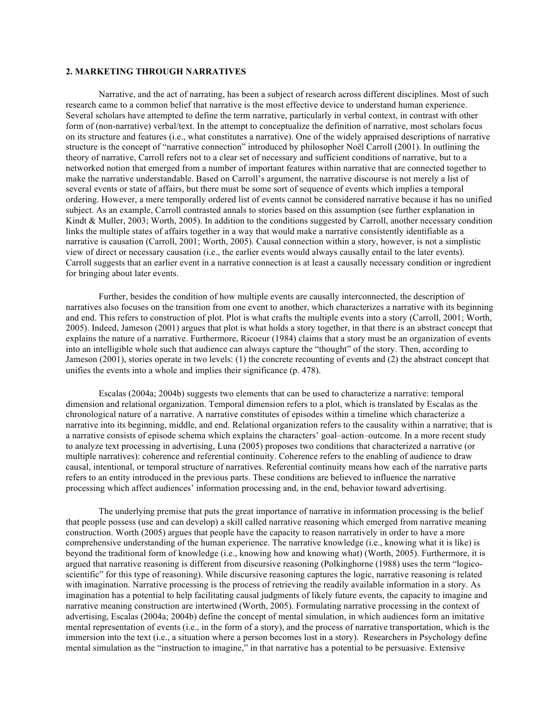# **2. MARKETING THROUGH NARRATIVES**

Narrative, and the act of narrating, has been a subject of research across different disciplines. Most of such research came to a common belief that narrative is the most effective device to understand human experience. Several scholars have attempted to define the term narrative, particularly in verbal context, in contrast with other form of (non-narrative) verbal/text. In the attempt to conceptualize the definition of narrative, most scholars focus on its structure and features (i.e., what constitutes a narrative). One of the widely appraised descriptions of narrative structure is the concept of "narrative connection" introduced by philosopher Noël Carroll (2001). In outlining the theory of narrative, Carroll refers not to a clear set of necessary and sufficient conditions of narrative, but to a networked notion that emerged from a number of important features within narrative that are connected together to make the narrative understandable. Based on Carroll's argument, the narrative discourse is not merely a list of several events or state of affairs, but there must be some sort of sequence of events which implies a temporal ordering. However, a mere temporally ordered list of events cannot be considered narrative because it has no unified subject. As an example, Carroll contrasted annals to stories based on this assumption (see further explanation in Kindt & Muller, 2003; Worth, 2005). In addition to the conditions suggested by Carroll, another necessary condition links the multiple states of affairs together in a way that would make a narrative consistently identifiable as a narrative is causation (Carroll, 2001; Worth, 2005). Causal connection within a story, however, is not a simplistic view of direct or necessary causation (i.e., the earlier events would always causally entail to the later events). Carroll suggests that an earlier event in a narrative connection is at least a causally necessary condition or ingredient for bringing about later events.

Further, besides the condition of how multiple events are causally interconnected, the description of narratives also focuses on the transition from one event to another, which characterizes a narrative with its beginning and end. This refers to construction of plot. Plot is what crafts the multiple events into a story (Carroll, 2001; Worth, 2005). Indeed, Jameson (2001) argues that plot is what holds a story together, in that there is an abstract concept that explains the nature of a narrative. Furthermore, Ricoeur (1984) claims that a story must be an organization of events into an intelligible whole such that audience can always capture the "thought" of the story. Then, according to Jameson (2001), stories operate in two levels: (1) the concrete recounting of events and (2) the abstract concept that unifies the events into a whole and implies their significance (p. 478).

Escalas (2004a; 2004b) suggests two elements that can be used to characterize a narrative: temporal dimension and relational organization. Temporal dimension refers to a plot, which is translated by Escalas as the chronological nature of a narrative. A narrative constitutes of episodes within a timeline which characterize a narrative into its beginning, middle, and end. Relational organization refers to the causality within a narrative; that is a narrative consists of episode schema which explains the characters' goal–action–outcome. In a more recent study to analyze text processing in advertising, Luna (2005) proposes two conditions that characterized a narrative (or multiple narratives): coherence and referential continuity. Coherence refers to the enabling of audience to draw causal, intentional, or temporal structure of narratives. Referential continuity means how each of the narrative parts refers to an entity introduced in the previous parts. These conditions are believed to influence the narrative processing which affect audiences' information processing and, in the end, behavior toward advertising.

The underlying premise that puts the great importance of narrative in information processing is the belief that people possess (use and can develop) a skill called narrative reasoning which emerged from narrative meaning construction. Worth (2005) argues that people have the capacity to reason narratively in order to have a more comprehensive understanding of the human experience. The narrative knowledge (i.e., knowing what it is like) is beyond the traditional form of knowledge (i.e., knowing how and knowing what) (Worth, 2005). Furthermore, it is argued that narrative reasoning is different from discursive reasoning (Polkinghorne (1988) uses the term "logicoscientific" for this type of reasoning). While discursive reasoning captures the logic, narrative reasoning is related with imagination. Narrative processing is the process of retrieving the readily available information in a story. As imagination has a potential to help facilitating causal judgments of likely future events, the capacity to imagine and narrative meaning construction are intertwined (Worth, 2005). Formulating narrative processing in the context of advertising, Escalas (2004a; 2004b) define the concept of mental simulation, in which audiences form an imitative mental representation of events (i.e., in the form of a story), and the process of narrative transportation, which is the immersion into the text (i.e., a situation where a person becomes lost in a story). Researchers in Psychology define mental simulation as the "instruction to imagine," in that narrative has a potential to be persuasive. Extensive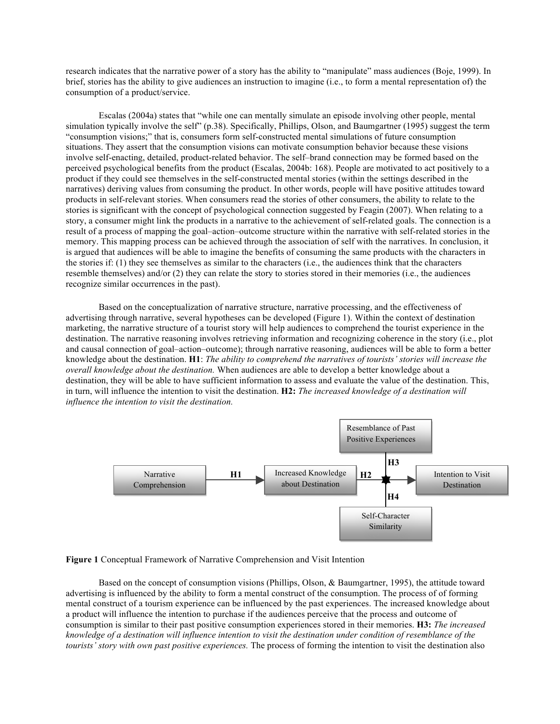research indicates that the narrative power of a story has the ability to "manipulate" mass audiences (Boje, 1999). In brief, stories has the ability to give audiences an instruction to imagine (i.e., to form a mental representation of) the consumption of a product/service.

Escalas (2004a) states that "while one can mentally simulate an episode involving other people, mental simulation typically involve the self" (p.38). Specifically, Phillips, Olson, and Baumgartner (1995) suggest the term "consumption visions;" that is, consumers form self-constructed mental simulations of future consumption situations. They assert that the consumption visions can motivate consumption behavior because these visions involve self-enacting, detailed, product-related behavior. The self–brand connection may be formed based on the perceived psychological benefits from the product (Escalas, 2004b: 168). People are motivated to act positively to a product if they could see themselves in the self-constructed mental stories (within the settings described in the narratives) deriving values from consuming the product. In other words, people will have positive attitudes toward products in self-relevant stories. When consumers read the stories of other consumers, the ability to relate to the stories is significant with the concept of psychological connection suggested by Feagin (2007). When relating to a story, a consumer might link the products in a narrative to the achievement of self-related goals. The connection is a result of a process of mapping the goal–action–outcome structure within the narrative with self-related stories in the memory. This mapping process can be achieved through the association of self with the narratives. In conclusion, it is argued that audiences will be able to imagine the benefits of consuming the same products with the characters in the stories if: (1) they see themselves as similar to the characters (i.e., the audiences think that the characters resemble themselves) and/or (2) they can relate the story to stories stored in their memories (i.e., the audiences recognize similar occurrences in the past).

Based on the conceptualization of narrative structure, narrative processing, and the effectiveness of advertising through narrative, several hypotheses can be developed (Figure 1). Within the context of destination marketing, the narrative structure of a tourist story will help audiences to comprehend the tourist experience in the destination. The narrative reasoning involves retrieving information and recognizing coherence in the story (i.e., plot and causal connection of goal–action–outcome); through narrative reasoning, audiences will be able to form a better knowledge about the destination. **H1**: *The ability to comprehend the narratives of tourists' stories will increase the overall knowledge about the destination.* When audiences are able to develop a better knowledge about a destination, they will be able to have sufficient information to assess and evaluate the value of the destination. This, in turn, will influence the intention to visit the destination. **H2:** *The increased knowledge of a destination will influence the intention to visit the destination.*



**Figure 1** Conceptual Framework of Narrative Comprehension and Visit Intention

Based on the concept of consumption visions (Phillips, Olson, & Baumgartner, 1995), the attitude toward advertising is influenced by the ability to form a mental construct of the consumption. The process of of forming mental construct of a tourism experience can be influenced by the past experiences. The increased knowledge about a product will influence the intention to purchase if the audiences perceive that the process and outcome of consumption is similar to their past positive consumption experiences stored in their memories. **H3:** *The increased knowledge of a destination will influence intention to visit the destination under condition of resemblance of the tourists' story with own past positive experiences.* The process of forming the intention to visit the destination also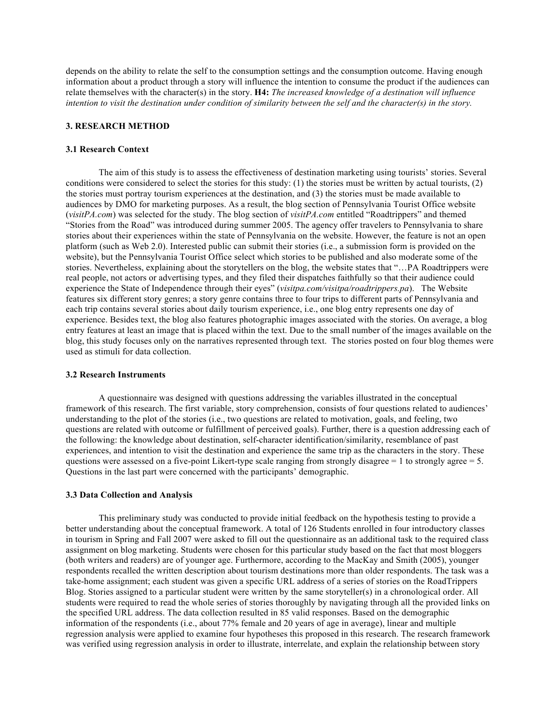depends on the ability to relate the self to the consumption settings and the consumption outcome. Having enough information about a product through a story will influence the intention to consume the product if the audiences can relate themselves with the character(s) in the story. **H4:** *The increased knowledge of a destination will influence intention to visit the destination under condition of similarity between the self and the character(s) in the story.*

### **3. RESEARCH METHOD**

#### **3.1 Research Context**

The aim of this study is to assess the effectiveness of destination marketing using tourists' stories. Several conditions were considered to select the stories for this study: (1) the stories must be written by actual tourists, (2) the stories must portray tourism experiences at the destination, and (3) the stories must be made available to audiences by DMO for marketing purposes. As a result, the blog section of Pennsylvania Tourist Office website (*visitPA.com*) was selected for the study. The blog section of *visitPA.com* entitled "Roadtrippers" and themed "Stories from the Road" was introduced during summer 2005. The agency offer travelers to Pennsylvania to share stories about their experiences within the state of Pennsylvania on the website. However, the feature is not an open platform (such as Web 2.0). Interested public can submit their stories (i.e., a submission form is provided on the website), but the Pennsylvania Tourist Office select which stories to be published and also moderate some of the stories. Nevertheless, explaining about the storytellers on the blog, the website states that "…PA Roadtrippers were real people, not actors or advertising types, and they filed their dispatches faithfully so that their audience could experience the State of Independence through their eyes" (*visitpa.com/visitpa/roadtrippers.pa*). The Website features six different story genres; a story genre contains three to four trips to different parts of Pennsylvania and each trip contains several stories about daily tourism experience, i.e., one blog entry represents one day of experience. Besides text, the blog also features photographic images associated with the stories. On average, a blog entry features at least an image that is placed within the text. Due to the small number of the images available on the blog, this study focuses only on the narratives represented through text. The stories posted on four blog themes were used as stimuli for data collection.

#### **3.2 Research Instruments**

A questionnaire was designed with questions addressing the variables illustrated in the conceptual framework of this research. The first variable, story comprehension, consists of four questions related to audiences' understanding to the plot of the stories (i.e., two questions are related to motivation, goals, and feeling, two questions are related with outcome or fulfillment of perceived goals). Further, there is a question addressing each of the following: the knowledge about destination, self-character identification/similarity, resemblance of past experiences, and intention to visit the destination and experience the same trip as the characters in the story. These questions were assessed on a five-point Likert-type scale ranging from strongly disagree  $= 1$  to strongly agree  $= 5$ . Questions in the last part were concerned with the participants' demographic.

#### **3.3 Data Collection and Analysis**

This preliminary study was conducted to provide initial feedback on the hypothesis testing to provide a better understanding about the conceptual framework. A total of 126 Students enrolled in four introductory classes in tourism in Spring and Fall 2007 were asked to fill out the questionnaire as an additional task to the required class assignment on blog marketing. Students were chosen for this particular study based on the fact that most bloggers (both writers and readers) are of younger age. Furthermore, according to the MacKay and Smith (2005), younger respondents recalled the written description about tourism destinations more than older respondents. The task was a take-home assignment; each student was given a specific URL address of a series of stories on the RoadTrippers Blog. Stories assigned to a particular student were written by the same storyteller(s) in a chronological order. All students were required to read the whole series of stories thoroughly by navigating through all the provided links on the specified URL address. The data collection resulted in 85 valid responses. Based on the demographic information of the respondents (i.e., about 77% female and 20 years of age in average), linear and multiple regression analysis were applied to examine four hypotheses this proposed in this research. The research framework was verified using regression analysis in order to illustrate, interrelate, and explain the relationship between story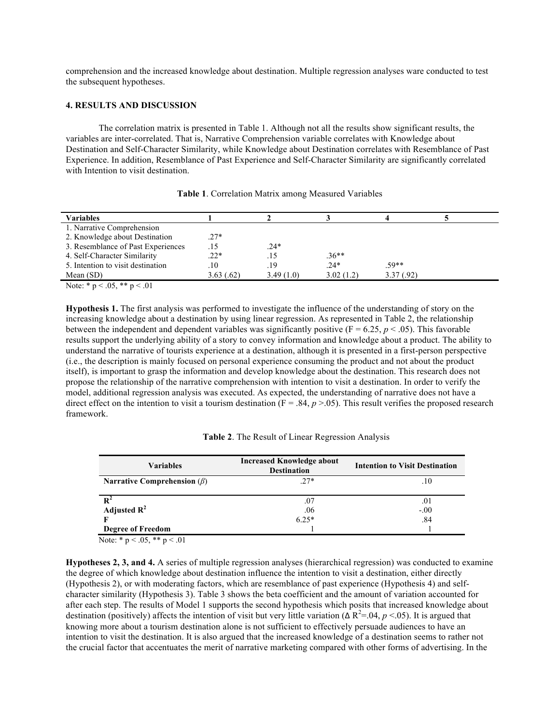comprehension and the increased knowledge about destination. Multiple regression analyses ware conducted to test the subsequent hypotheses.

## **4. RESULTS AND DISCUSSION**

The correlation matrix is presented in Table 1. Although not all the results show significant results, the variables are inter-correlated. That is, Narrative Comprehension variable correlates with Knowledge about Destination and Self-Character Similarity, while Knowledge about Destination correlates with Resemblance of Past Experience. In addition, Resemblance of Past Experience and Self-Character Similarity are significantly correlated with Intention to visit destination.

| <b>Variables</b>                   |           |           |           |           |  |
|------------------------------------|-----------|-----------|-----------|-----------|--|
| 1. Narrative Comprehension         |           |           |           |           |  |
| 2. Knowledge about Destination     | $.27*$    |           |           |           |  |
| 3. Resemblance of Past Experiences | .15       | $.24*$    |           |           |  |
| 4. Self-Character Similarity       | $.22*$    | .15       | $.36**$   |           |  |
| 5. Intention to visit destination  | .10       | .19       | $.24*$    | $.59**$   |  |
| Mean $(SD)$                        | 3.63(.62) | 3.49(1.0) | 3.02(1.2) | 3.37(.92) |  |

| Table 1. Correlation Matrix among Measured Variables |  |  |
|------------------------------------------------------|--|--|
|------------------------------------------------------|--|--|

Note:  $* p < .05$ ,  $** p < .01$ 

**Hypothesis 1.** The first analysis was performed to investigate the influence of the understanding of story on the increasing knowledge about a destination by using linear regression. As represented in Table 2, the relationship between the independent and dependent variables was significantly positive  $(F = 6.25, p < .05)$ . This favorable results support the underlying ability of a story to convey information and knowledge about a product. The ability to understand the narrative of tourists experience at a destination, although it is presented in a first-person perspective (i.e., the description is mainly focused on personal experience consuming the product and not about the product itself), is important to grasp the information and develop knowledge about the destination. This research does not propose the relationship of the narrative comprehension with intention to visit a destination. In order to verify the model, additional regression analysis was executed. As expected, the understanding of narrative does not have a direct effect on the intention to visit a tourism destination  $(F = .84, p > .05)$ . This result verifies the proposed research framework.

|  |  |  |  |  | Table 2. The Result of Linear Regression Analysis |  |  |
|--|--|--|--|--|---------------------------------------------------|--|--|
|--|--|--|--|--|---------------------------------------------------|--|--|

| <b>Variables</b>                  | <b>Increased Knowledge about</b><br><b>Destination</b> | <b>Intention to Visit Destination</b> |  |  |
|-----------------------------------|--------------------------------------------------------|---------------------------------------|--|--|
| Narrative Comprehension $(\beta)$ | $.27*$                                                 | .10                                   |  |  |
|                                   |                                                        |                                       |  |  |
|                                   | .07                                                    | .01                                   |  |  |
| Adjusted $R^2$                    | .06                                                    | $-.00$                                |  |  |
|                                   | $6.25*$                                                | .84                                   |  |  |
| <b>Degree of Freedom</b>          |                                                        |                                       |  |  |

Note:  $* p < .05, ** p < .01$ 

**Hypotheses 2, 3, and 4.** A series of multiple regression analyses (hierarchical regression) was conducted to examine the degree of which knowledge about destination influence the intention to visit a destination, either directly (Hypothesis 2), or with moderating factors, which are resemblance of past experience (Hypothesis 4) and selfcharacter similarity (Hypothesis 3). Table 3 shows the beta coefficient and the amount of variation accounted for after each step. The results of Model 1 supports the second hypothesis which posits that increased knowledge about destination (positively) affects the intention of visit but very little variation ( $\Delta R^2$ =.04,  $p$  <.05). It is argued that knowing more about a tourism destination alone is not sufficient to effectively persuade audiences to have an intention to visit the destination. It is also argued that the increased knowledge of a destination seems to rather not the crucial factor that accentuates the merit of narrative marketing compared with other forms of advertising. In the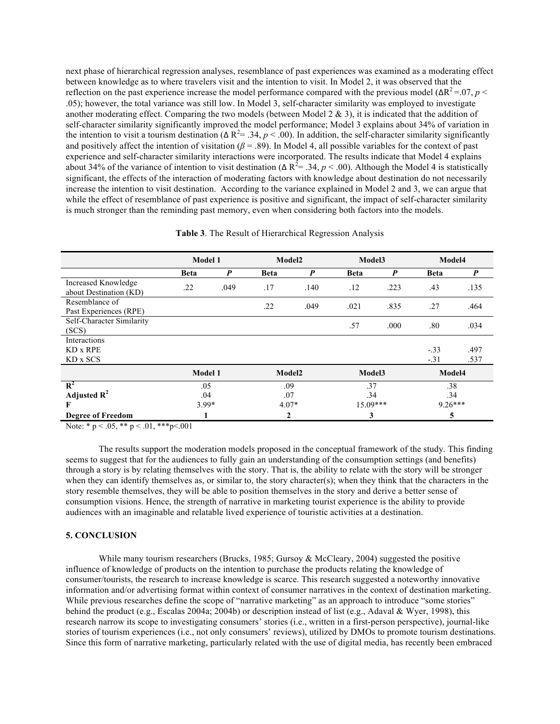next phase of hierarchical regression analyses, resemblance of past experiences was examined as a moderating effect between knowledge as to where travelers visit and the intention to visit. In Model 2, it was observed that the reflection on the past experience increase the model performance compared with the previous model (ΔR<sup>2</sup> = 07, *p* < .05); however, the total variance was still low. In Model 3, self-character similarity was employed to investigate another moderating effect. Comparing the two models (between Model  $2 \& 3$ ), it is indicated that the addition of self-character similarity significantly improved the model performance; Model 3 explains about 34% of variation in the intention to visit a tourism destination ( $\Delta R^2 = .34$ ,  $p < .00$ ). In addition, the self-character similarity significantly and positively affect the intention of visitation ( $\beta$  = .89). In Model 4, all possible variables for the context of past experience and self-character similarity interactions were incorporated. The results indicate that Model 4 explains about 34% of the variance of intention to visit destination ( $\Delta R^2$  = .34,  $p$  < .00). Although the Model 4 is statistically significant, the effects of the interaction of moderating factors with knowledge about destination do not necessarily increase the intention to visit destination. According to the variance explained in Model 2 and 3, we can argue that while the effect of resemblance of past experience is positive and significant, the impact of self-character similarity is much stronger than the reminding past memory, even when considering both factors into the models.

|                                               | Model 1     |                  | Model2      |      | Model3      |      | Model4      |                  |
|-----------------------------------------------|-------------|------------------|-------------|------|-------------|------|-------------|------------------|
|                                               | <b>Beta</b> | $\boldsymbol{P}$ | <b>Beta</b> | P    | <b>Beta</b> | P    | <b>Beta</b> | $\boldsymbol{P}$ |
| Increased Knowledge<br>about Destination (KD) | .22         | .049             | .17         | .140 | .12         | .223 | .43         | .135             |
| Resemblance of<br>Past Experiences (RPE)      |             |                  | .22         | .049 | .021        | .835 | .27         | .464             |
| Self-Character Similarity<br>(SCS)            |             |                  |             |      | .57         | .000 | .80         | .034             |
| Interactions                                  |             |                  |             |      |             |      |             |                  |
| KD x RPE                                      |             |                  |             |      |             |      | $-.33$      | .497             |
| KD x SCS                                      |             |                  |             |      |             |      | $-.31$      | .537             |
|                                               | Model 1     |                  | Model2      |      | Model3      |      | Model4      |                  |
| $\mathbb{R}^2$                                | .05         |                  | .09         |      | .37         |      | .38         |                  |
| Adjusted $R^2$                                | .04         |                  | .07         |      | .34         |      | .34         |                  |
| F                                             | $3.99*$     |                  | $4.07*$     |      | 15.09***    |      | $9.26***$   |                  |
| <b>Degree of Freedom</b>                      |             |                  | 2           |      | 3           |      | 5           |                  |

**Table 3**. The Result of Hierarchical Regression Analysis

Note: \* p < .05, \*\* p < .01, \*\*\*p<.001

The results support the moderation models proposed in the conceptual framework of the study. This finding seems to suggest that for the audiences to fully gain an understanding of the consumption settings (and benefits) through a story is by relating themselves with the story. That is, the ability to relate with the story will be stronger when they can identify themselves as, or similar to, the story character(s); when they think that the characters in the story resemble themselves, they will be able to position themselves in the story and derive a better sense of consumption visions. Hence, the strength of narrative in marketing tourist experience is the ability to provide audiences with an imaginable and relatable lived experience of touristic activities at a destination.

#### **5. CONCLUSION**

While many tourism researchers (Brucks, 1985; Gursoy & McCleary, 2004) suggested the positive influence of knowledge of products on the intention to purchase the products relating the knowledge of consumer/tourists, the research to increase knowledge is scarce. This research suggested a noteworthy innovative information and/or advertising format within context of consumer narratives in the context of destination marketing. While previous researches define the scope of "narrative marketing" as an approach to introduce "some stories" behind the product (e.g., Escalas 2004a; 2004b) or description instead of list (e.g., Adaval & Wyer, 1998), this research narrow its scope to investigating consumers' stories (i.e., written in a first-person perspective), journal-like stories of tourism experiences (i.e., not only consumers' reviews), utilized by DMOs to promote tourism destinations. Since this form of narrative marketing, particularly related with the use of digital media, has recently been embraced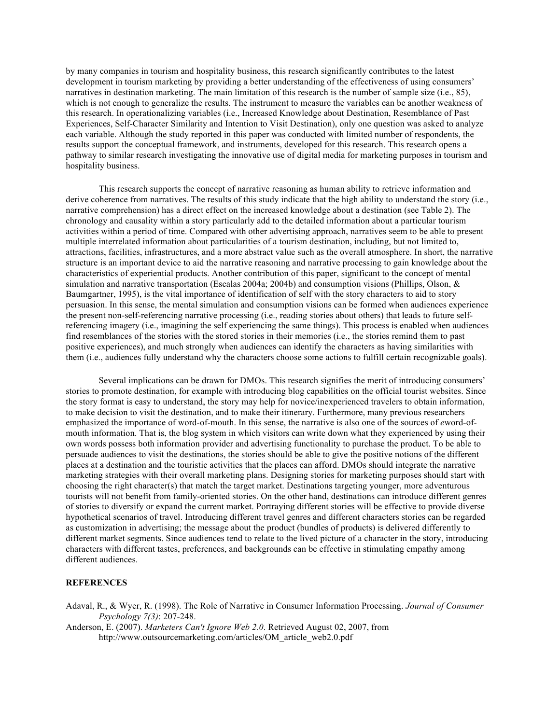by many companies in tourism and hospitality business, this research significantly contributes to the latest development in tourism marketing by providing a better understanding of the effectiveness of using consumers' narratives in destination marketing. The main limitation of this research is the number of sample size (i.e., 85), which is not enough to generalize the results. The instrument to measure the variables can be another weakness of this research. In operationalizing variables (i.e., Increased Knowledge about Destination, Resemblance of Past Experiences, Self-Character Similarity and Intention to Visit Destination), only one question was asked to analyze each variable. Although the study reported in this paper was conducted with limited number of respondents, the results support the conceptual framework, and instruments, developed for this research. This research opens a pathway to similar research investigating the innovative use of digital media for marketing purposes in tourism and hospitality business.

This research supports the concept of narrative reasoning as human ability to retrieve information and derive coherence from narratives. The results of this study indicate that the high ability to understand the story (i.e., narrative comprehension) has a direct effect on the increased knowledge about a destination (see Table 2). The chronology and causality within a story particularly add to the detailed information about a particular tourism activities within a period of time. Compared with other advertising approach, narratives seem to be able to present multiple interrelated information about particularities of a tourism destination, including, but not limited to, attractions, facilities, infrastructures, and a more abstract value such as the overall atmosphere. In short, the narrative structure is an important device to aid the narrative reasoning and narrative processing to gain knowledge about the characteristics of experiential products. Another contribution of this paper, significant to the concept of mental simulation and narrative transportation (Escalas 2004a; 2004b) and consumption visions (Phillips, Olson, & Baumgartner, 1995), is the vital importance of identification of self with the story characters to aid to story persuasion. In this sense, the mental simulation and consumption visions can be formed when audiences experience the present non-self-referencing narrative processing (i.e., reading stories about others) that leads to future selfreferencing imagery (i.e., imagining the self experiencing the same things). This process is enabled when audiences find resemblances of the stories with the stored stories in their memories (i.e., the stories remind them to past positive experiences), and much strongly when audiences can identify the characters as having similarities with them (i.e., audiences fully understand why the characters choose some actions to fulfill certain recognizable goals).

Several implications can be drawn for DMOs. This research signifies the merit of introducing consumers' stories to promote destination, for example with introducing blog capabilities on the official tourist websites. Since the story format is easy to understand, the story may help for novice/inexperienced travelers to obtain information, to make decision to visit the destination, and to make their itinerary. Furthermore, many previous researchers emphasized the importance of word-of-mouth. In this sense, the narrative is also one of the sources of *e*word-ofmouth information. That is, the blog system in which visitors can write down what they experienced by using their own words possess both information provider and advertising functionality to purchase the product. To be able to persuade audiences to visit the destinations, the stories should be able to give the positive notions of the different places at a destination and the touristic activities that the places can afford. DMOs should integrate the narrative marketing strategies with their overall marketing plans. Designing stories for marketing purposes should start with choosing the right character(s) that match the target market. Destinations targeting younger, more adventurous tourists will not benefit from family-oriented stories. On the other hand, destinations can introduce different genres of stories to diversify or expand the current market. Portraying different stories will be effective to provide diverse hypothetical scenarios of travel. Introducing different travel genres and different characters stories can be regarded as customization in advertising; the message about the product (bundles of products) is delivered differently to different market segments. Since audiences tend to relate to the lived picture of a character in the story, introducing characters with different tastes, preferences, and backgrounds can be effective in stimulating empathy among different audiences.

### **REFERENCES**

Adaval, R., & Wyer, R. (1998). The Role of Narrative in Consumer Information Processing. *Journal of Consumer Psychology 7(3)*: 207-248.

Anderson, E. (2007). *Marketers Can't Ignore Web 2.0*. Retrieved August 02, 2007, from http://www.outsourcemarketing.com/articles/OM\_article\_web2.0.pdf